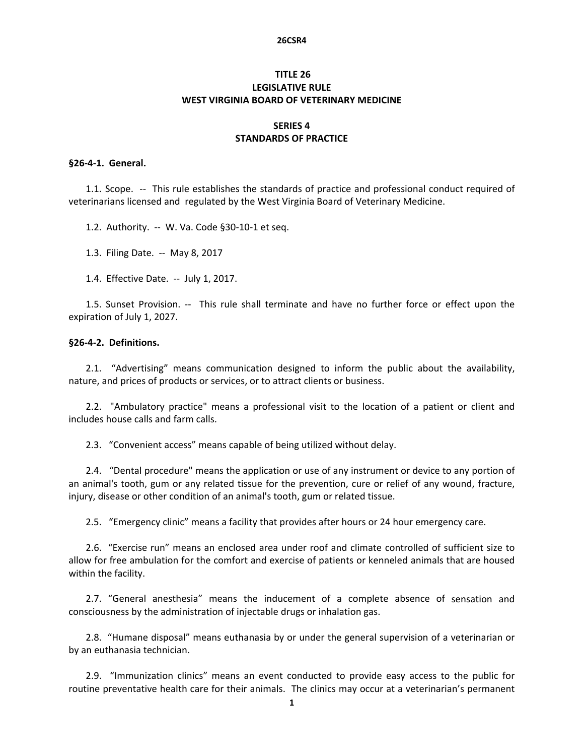#### **26CSR4**

# **TITLE 26 LEGISLATIVE RULE WEST VIRGINIA BOARD OF VETERINARY MEDICINE**

## **SERIES 4 STANDARDS OF PRACTICE**

### **§26‐4‐1. General.**

1.1. Scope. -- This rule establishes the standards of practice and professional conduct required of veterinarians licensed and regulated by the West Virginia Board of Veterinary Medicine.

1.2. Authority. -- W. Va. Code §30-10-1 et seq.

1.3. Filing Date. ‐‐ May 8, 2017

1.4. Effective Date. ‐‐ July 1, 2017.

1.5. Sunset Provision. -- This rule shall terminate and have no further force or effect upon the expiration of July 1, 2027.

#### **§26‐4‐2. Definitions.**

2.1. "Advertising" means communication designed to inform the public about the availability, nature, and prices of products or services, or to attract clients or business.

2.2. "Ambulatory practice" means a professional visit to the location of a patient or client and includes house calls and farm calls.

2.3. "Convenient access" means capable of being utilized without delay.

2.4. "Dental procedure" means the application or use of any instrument or device to any portion of an animal's tooth, gum or any related tissue for the prevention, cure or relief of any wound, fracture, injury, disease or other condition of an animal's tooth, gum or related tissue.

2.5. "Emergency clinic" means a facility that provides after hours or 24 hour emergency care.

2.6. "Exercise run" means an enclosed area under roof and climate controlled of sufficient size to allow for free ambulation for the comfort and exercise of patients or kenneled animals that are housed within the facility.

2.7. "General anesthesia" means the inducement of a complete absence of sensation and consciousness by the administration of injectable drugs or inhalation gas.

2.8. "Humane disposal" means euthanasia by or under the general supervision of a veterinarian or by an euthanasia technician.

2.9. "Immunization clinics" means an event conducted to provide easy access to the public for routine preventative health care for their animals. The clinics may occur at a veterinarian's permanent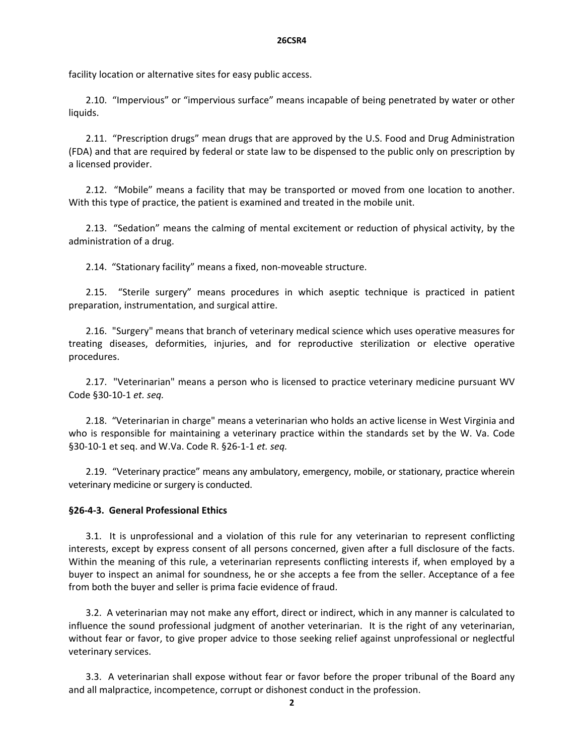#### **26CSR4**

facility location or alternative sites for easy public access.

2.10. "Impervious" or "impervious surface" means incapable of being penetrated by water or other liquids.

2.11. "Prescription drugs" mean drugs that are approved by the U.S. Food and Drug Administration (FDA) and that are required by federal or state law to be dispensed to the public only on prescription by a licensed provider.

2.12. "Mobile" means a facility that may be transported or moved from one location to another. With this type of practice, the patient is examined and treated in the mobile unit.

2.13. "Sedation" means the calming of mental excitement or reduction of physical activity, by the administration of a drug.

2.14. "Stationary facility" means a fixed, non‐moveable structure.

2.15. "Sterile surgery" means procedures in which aseptic technique is practiced in patient preparation, instrumentation, and surgical attire.

2.16. "Surgery" means that branch of veterinary medical science which uses operative measures for treating diseases, deformities, injuries, and for reproductive sterilization or elective operative procedures.

2.17. "Veterinarian" means a person who is licensed to practice veterinary medicine pursuant WV Code §30‐10‐1 *et. seq.*

2.18. "Veterinarian in charge" means a veterinarian who holds an active license in West Virginia and who is responsible for maintaining a veterinary practice within the standards set by the W. Va. Code §30‐10‐1 et seq. and W.Va. Code R. §26‐1‐1 *et. seq.*

2.19. "Veterinary practice" means any ambulatory, emergency, mobile, or stationary, practice wherein veterinary medicine or surgery is conducted.

### **§26‐4‐3. General Professional Ethics**

3.1. It is unprofessional and a violation of this rule for any veterinarian to represent conflicting interests, except by express consent of all persons concerned, given after a full disclosure of the facts. Within the meaning of this rule, a veterinarian represents conflicting interests if, when employed by a buyer to inspect an animal for soundness, he or she accepts a fee from the seller. Acceptance of a fee from both the buyer and seller is prima facie evidence of fraud.

3.2. A veterinarian may not make any effort, direct or indirect, which in any manner is calculated to influence the sound professional judgment of another veterinarian. It is the right of any veterinarian, without fear or favor, to give proper advice to those seeking relief against unprofessional or neglectful veterinary services.

3.3. A veterinarian shall expose without fear or favor before the proper tribunal of the Board any and all malpractice, incompetence, corrupt or dishonest conduct in the profession.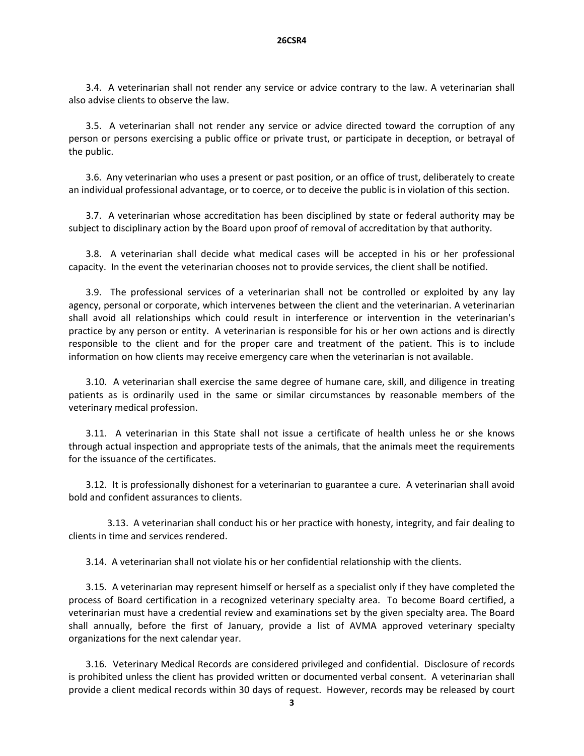3.4. A veterinarian shall not render any service or advice contrary to the law. A veterinarian shall also advise clients to observe the law.

3.5. A veterinarian shall not render any service or advice directed toward the corruption of any person or persons exercising a public office or private trust, or participate in deception, or betrayal of the public.

3.6. Any veterinarian who uses a present or past position, or an office of trust, deliberately to create an individual professional advantage, or to coerce, or to deceive the public is in violation of this section.

3.7. A veterinarian whose accreditation has been disciplined by state or federal authority may be subject to disciplinary action by the Board upon proof of removal of accreditation by that authority.

3.8. A veterinarian shall decide what medical cases will be accepted in his or her professional capacity. In the event the veterinarian chooses not to provide services, the client shall be notified.

3.9. The professional services of a veterinarian shall not be controlled or exploited by any lay agency, personal or corporate, which intervenes between the client and the veterinarian. A veterinarian shall avoid all relationships which could result in interference or intervention in the veterinarian's practice by any person or entity. A veterinarian is responsible for his or her own actions and is directly responsible to the client and for the proper care and treatment of the patient. This is to include information on how clients may receive emergency care when the veterinarian is not available.

3.10. A veterinarian shall exercise the same degree of humane care, skill, and diligence in treating patients as is ordinarily used in the same or similar circumstances by reasonable members of the veterinary medical profession.

3.11. A veterinarian in this State shall not issue a certificate of health unless he or she knows through actual inspection and appropriate tests of the animals, that the animals meet the requirements for the issuance of the certificates.

3.12. It is professionally dishonest for a veterinarian to guarantee a cure. A veterinarian shall avoid bold and confident assurances to clients.

3.13. A veterinarian shall conduct his or her practice with honesty, integrity, and fair dealing to clients in time and services rendered.

3.14. A veterinarian shall not violate his or her confidential relationship with the clients.

3.15. A veterinarian may represent himself or herself as a specialist only if they have completed the process of Board certification in a recognized veterinary specialty area. To become Board certified, a veterinarian must have a credential review and examinations set by the given specialty area. The Board shall annually, before the first of January, provide a list of AVMA approved veterinary specialty organizations for the next calendar year.

3.16. Veterinary Medical Records are considered privileged and confidential. Disclosure of records is prohibited unless the client has provided written or documented verbal consent. A veterinarian shall provide a client medical records within 30 days of request. However, records may be released by court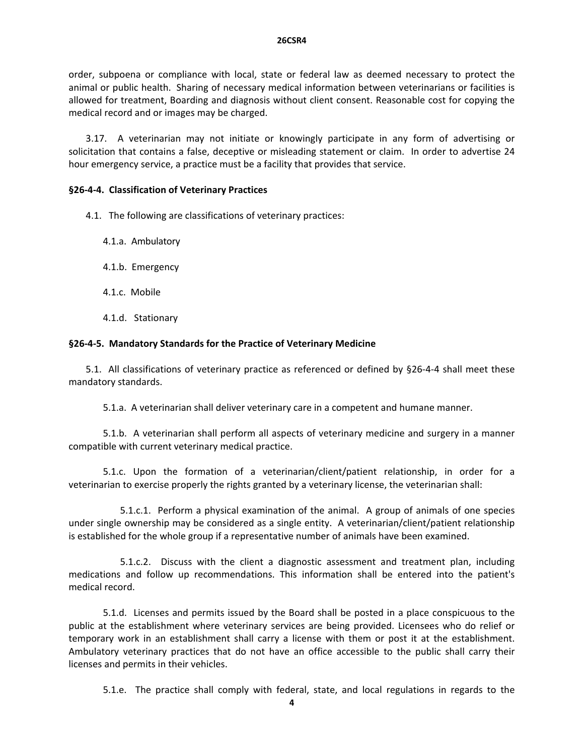order, subpoena or compliance with local, state or federal law as deemed necessary to protect the animal or public health. Sharing of necessary medical information between veterinarians or facilities is allowed for treatment, Boarding and diagnosis without client consent. Reasonable cost for copying the medical record and or images may be charged.

3.17. A veterinarian may not initiate or knowingly participate in any form of advertising or solicitation that contains a false, deceptive or misleading statement or claim. In order to advertise 24 hour emergency service, a practice must be a facility that provides that service.

## **§26‐4‐4. Classification of Veterinary Practices**

4.1. The following are classifications of veterinary practices:

4.1.a. Ambulatory

4.1.b. Emergency

4.1.c. Mobile

4.1.d. Stationary 

# **§26‐4‐5. Mandatory Standards for the Practice of Veterinary Medicine**

5.1. All classifications of veterinary practice as referenced or defined by §26‐4‐4 shall meet these mandatory standards.

5.1.a. A veterinarian shall deliver veterinary care in a competent and humane manner.

 5.1.b. A veterinarian shall perform all aspects of veterinary medicine and surgery in a manner compatible with current veterinary medical practice.

 5.1.c. Upon the formation of a veterinarian/client/patient relationship, in order for a veterinarian to exercise properly the rights granted by a veterinary license, the veterinarian shall:

 5.1.c.1. Perform a physical examination of the animal. A group of animals of one species under single ownership may be considered as a single entity. A veterinarian/client/patient relationship is established for the whole group if a representative number of animals have been examined.

5.1.c.2. Discuss with the client a diagnostic assessment and treatment plan, including medications and follow up recommendations. This information shall be entered into the patient's medical record.

 5.1.d. Licenses and permits issued by the Board shall be posted in a place conspicuous to the public at the establishment where veterinary services are being provided. Licensees who do relief or temporary work in an establishment shall carry a license with them or post it at the establishment. Ambulatory veterinary practices that do not have an office accessible to the public shall carry their licenses and permits in their vehicles.

5.1.e. The practice shall comply with federal, state, and local regulations in regards to the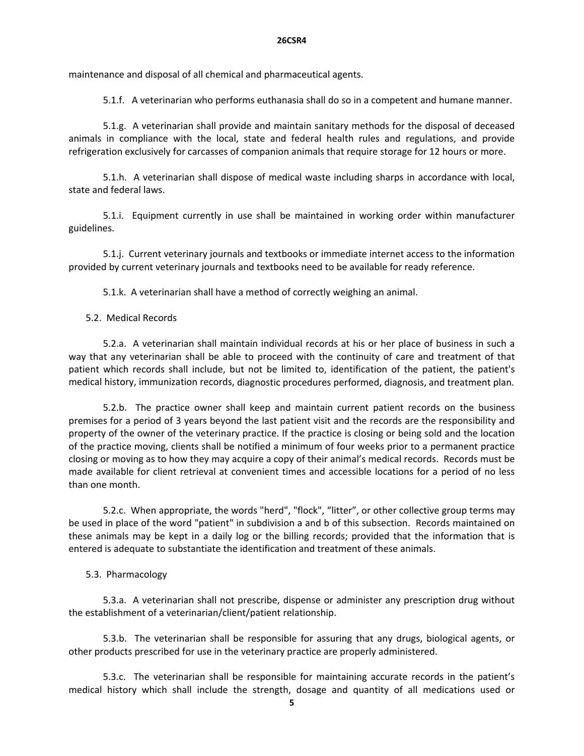maintenance and disposal of all chemical and pharmaceutical agents.

5.1.f. A veterinarian who performs euthanasia shall do so in a competent and humane manner.

 5.1.g. A veterinarian shall provide and maintain sanitary methods for the disposal of deceased animals in compliance with the local, state and federal health rules and regulations, and provide refrigeration exclusively for carcasses of companion animals that require storage for 12 hours or more.

 5.1.h. A veterinarian shall dispose of medical waste including sharps in accordance with local, state and federal laws.

 5.1.i. Equipment currently in use shall be maintained in working order within manufacturer guidelines.

5.1.j. Current veterinary journals and textbooks or immediate internet access to the information provided by current veterinary journals and textbooks need to be available for ready reference.

5.1.k. A veterinarian shall have a method of correctly weighing an animal.

# 5.2. Medical Records

5.2.a. A veterinarian shall maintain individual records at his or her place of business in such a way that any veterinarian shall be able to proceed with the continuity of care and treatment of that patient which records shall include, but not be limited to, identification of the patient, the patient's medical history, immunization records, diagnostic procedures performed, diagnosis, and treatment plan.

 5.2.b. The practice owner shall keep and maintain current patient records on the business premises for a period of 3 years beyond the last patient visit and the records are the responsibility and property of the owner of the veterinary practice. If the practice is closing or being sold and the location of the practice moving, clients shall be notified a minimum of four weeks prior to a permanent practice closing or moving as to how they may acquire a copy of their animal's medical records. Records must be made available for client retrieval at convenient times and accessible locations for a period of no less than one month.

5.2.c. When appropriate, the words "herd", "flock", "litter", or other collective group terms may be used in place of the word "patient" in subdivision a and b of this subsection. Records maintained on these animals may be kept in a daily log or the billing records; provided that the information that is entered is adequate to substantiate the identification and treatment of these animals.

# 5.3. Pharmacology

 5.3.a. A veterinarian shall not prescribe, dispense or administer any prescription drug without the establishment of a veterinarian/client/patient relationship.

 5.3.b. The veterinarian shall be responsible for assuring that any drugs, biological agents, or other products prescribed for use in the veterinary practice are properly administered.

 5.3.c. The veterinarian shall be responsible for maintaining accurate records in the patient's medical history which shall include the strength, dosage and quantity of all medications used or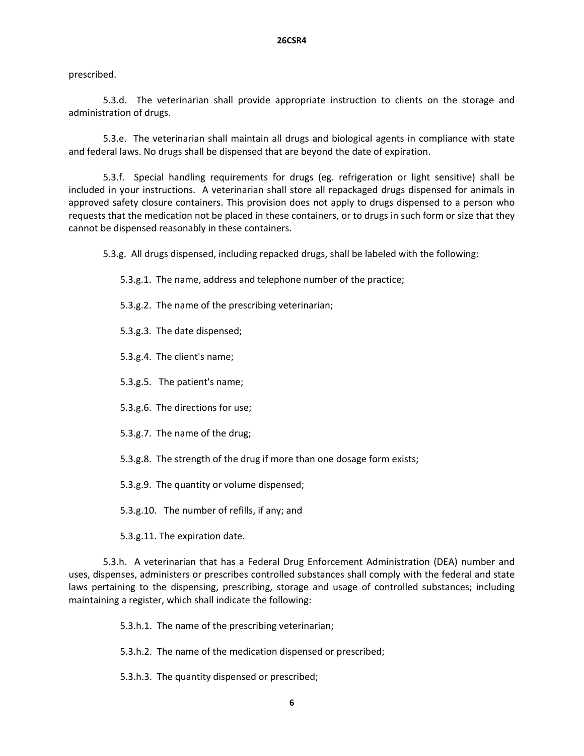## prescribed.

5.3.d. The veterinarian shall provide appropriate instruction to clients on the storage and administration of drugs.

5.3.e. The veterinarian shall maintain all drugs and biological agents in compliance with state and federal laws. No drugs shall be dispensed that are beyond the date of expiration.

 5.3.f. Special handling requirements for drugs (eg. refrigeration or light sensitive) shall be included in your instructions. A veterinarian shall store all repackaged drugs dispensed for animals in approved safety closure containers. This provision does not apply to drugs dispensed to a person who requests that the medication not be placed in these containers, or to drugs in such form or size that they cannot be dispensed reasonably in these containers.

5.3.g. All drugs dispensed, including repacked drugs, shall be labeled with the following:

- 5.3.g.1. The name, address and telephone number of the practice;
- 5.3.g.2. The name of the prescribing veterinarian;
- 5.3.g.3. The date dispensed;
- 5.3.g.4. The client's name;
- 5.3.g.5. The patient's name;
- 5.3.g.6. The directions for use;
- 5.3.g.7. The name of the drug;
- 5.3.g.8. The strength of the drug if more than one dosage form exists;
- 5.3.g.9. The quantity or volume dispensed;
- 5.3.g.10. The number of refills, if any; and
- 5.3.g.11. The expiration date.

 5.3.h. A veterinarian that has a Federal Drug Enforcement Administration (DEA) number and uses, dispenses, administers or prescribes controlled substances shall comply with the federal and state laws pertaining to the dispensing, prescribing, storage and usage of controlled substances; including maintaining a register, which shall indicate the following:

- 5.3.h.1. The name of the prescribing veterinarian;
- 5.3.h.2. The name of the medication dispensed or prescribed;
- 5.3.h.3. The quantity dispensed or prescribed;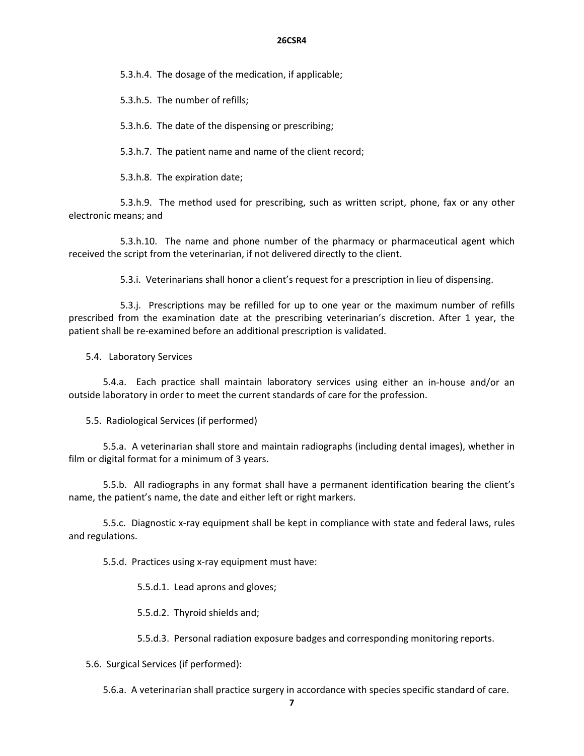#### **26CSR4**

5.3.h.4. The dosage of the medication, if applicable;

5.3.h.5. The number of refills;

5.3.h.6. The date of the dispensing or prescribing;

5.3.h.7. The patient name and name of the client record;

5.3.h.8. The expiration date;

 5.3.h.9. The method used for prescribing, such as written script, phone, fax or any other electronic means; and

5.3.h.10. The name and phone number of the pharmacy or pharmaceutical agent which received the script from the veterinarian, if not delivered directly to the client.

5.3.i. Veterinarians shall honor a client's request for a prescription in lieu of dispensing.

 5.3.j. Prescriptions may be refilled for up to one year or the maximum number of refills prescribed from the examination date at the prescribing veterinarian's discretion. After 1 year, the patient shall be re‐examined before an additional prescription is validated.

5.4. Laboratory Services

5.4.a. Each practice shall maintain laboratory services using either an in-house and/or an outside laboratory in order to meet the current standards of care for the profession.

5.5. Radiological Services (if performed)

5.5.a. A veterinarian shall store and maintain radiographs (including dental images), whether in film or digital format for a minimum of 3 years.

5.5.b. All radiographs in any format shall have a permanent identification bearing the client's name, the patient's name, the date and either left or right markers.

5.5.c. Diagnostic x‐ray equipment shall be kept in compliance with state and federal laws, rules and regulations.

5.5.d. Practices using x‐ray equipment must have:

5.5.d.1. Lead aprons and gloves;

5.5.d.2. Thyroid shields and;

5.5.d.3. Personal radiation exposure badges and corresponding monitoring reports.

5.6. Surgical Services (if performed):

5.6.a. A veterinarian shall practice surgery in accordance with species specific standard of care.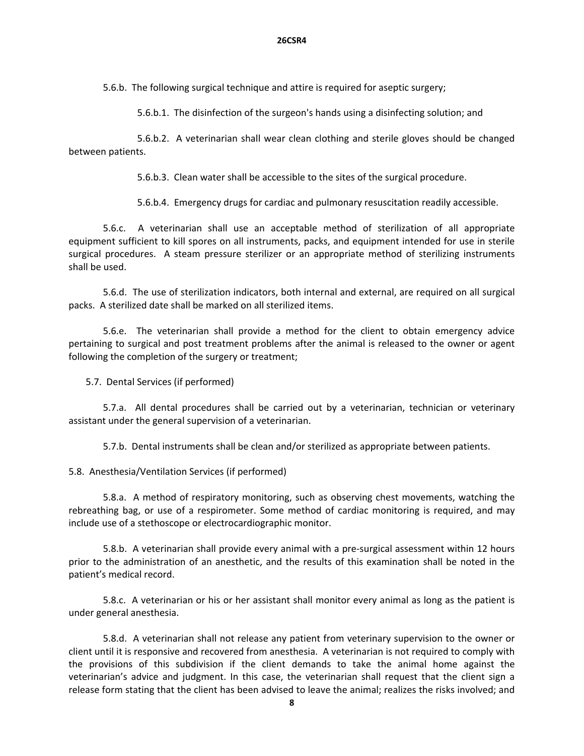5.6.b. The following surgical technique and attire is required for aseptic surgery;

5.6.b.1. The disinfection of the surgeon's hands using a disinfecting solution; and

 5.6.b.2. A veterinarian shall wear clean clothing and sterile gloves should be changed between patients.

 5.6.b.3. Clean water shall be accessible to the sites of the surgical procedure.

5.6.b.4. Emergency drugs for cardiac and pulmonary resuscitation readily accessible.

5.6.c. A veterinarian shall use an acceptable method of sterilization of all appropriate equipment sufficient to kill spores on all instruments, packs, and equipment intended for use in sterile surgical procedures. A steam pressure sterilizer or an appropriate method of sterilizing instruments shall be used.

 5.6.d. The use of sterilization indicators, both internal and external, are required on all surgical packs. A sterilized date shall be marked on all sterilized items.

5.6.e. The veterinarian shall provide a method for the client to obtain emergency advice pertaining to surgical and post treatment problems after the animal is released to the owner or agent following the completion of the surgery or treatment;

5.7. Dental Services (if performed)

 5.7.a. All dental procedures shall be carried out by a veterinarian, technician or veterinary assistant under the general supervision of a veterinarian.

5.7.b. Dental instruments shall be clean and/or sterilized as appropriate between patients.

5.8. Anesthesia/Ventilation Services (if performed)

 5.8.a. A method of respiratory monitoring, such as observing chest movements, watching the rebreathing bag, or use of a respirometer. Some method of cardiac monitoring is required, and may include use of a stethoscope or electrocardiographic monitor.

 5.8.b. A veterinarian shall provide every animal with a pre‐surgical assessment within 12 hours prior to the administration of an anesthetic, and the results of this examination shall be noted in the patient's medical record.

 5.8.c. A veterinarian or his or her assistant shall monitor every animal as long as the patient is under general anesthesia.

 5.8.d. A veterinarian shall not release any patient from veterinary supervision to the owner or client until it is responsive and recovered from anesthesia. A veterinarian is not required to comply with the provisions of this subdivision if the client demands to take the animal home against the veterinarian's advice and judgment. In this case, the veterinarian shall request that the client sign a release form stating that the client has been advised to leave the animal; realizes the risks involved; and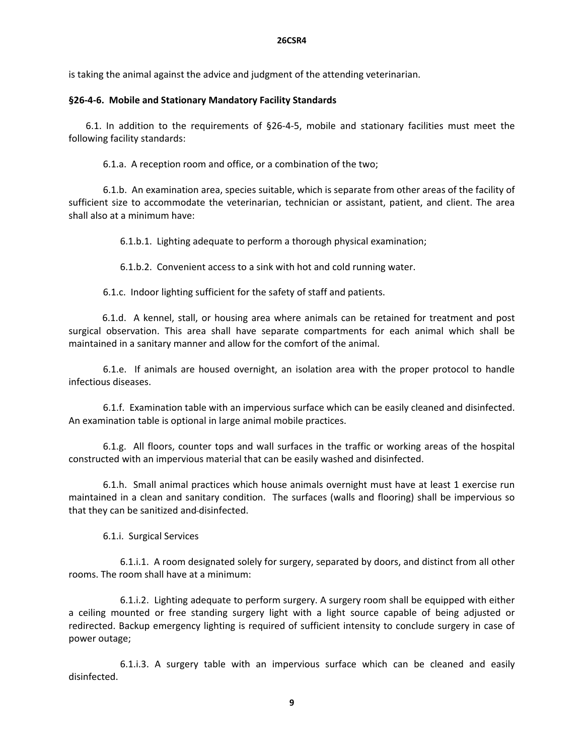is taking the animal against the advice and judgment of the attending veterinarian.

# **§26‐4‐6. Mobile and Stationary Mandatory Facility Standards**

6.1. In addition to the requirements of §26‐4‐5, mobile and stationary facilities must meet the following facility standards:

6.1.a. A reception room and office, or a combination of the two;

 6.1.b. An examination area, species suitable, which is separate from other areas of the facility of sufficient size to accommodate the veterinarian, technician or assistant, patient, and client. The area shall also at a minimum have:

6.1.b.1. Lighting adequate to perform a thorough physical examination;

6.1.b.2. Convenient access to a sink with hot and cold running water.

6.1.c. Indoor lighting sufficient for the safety of staff and patients.

 6.1.d. A kennel, stall, or housing area where animals can be retained for treatment and post surgical observation. This area shall have separate compartments for each animal which shall be maintained in a sanitary manner and allow for the comfort of the animal.

6.1.e. If animals are housed overnight, an isolation area with the proper protocol to handle infectious diseases.

 6.1.f. Examination table with an impervious surface which can be easily cleaned and disinfected. An examination table is optional in large animal mobile practices.

6.1.g. All floors, counter tops and wall surfaces in the traffic or working areas of the hospital constructed with an impervious material that can be easily washed and disinfected.

6.1.h. Small animal practices which house animals overnight must have at least 1 exercise run maintained in a clean and sanitary condition. The surfaces (walls and flooring) shall be impervious so that they can be sanitized and disinfected.

6.1.i. Surgical Services

 6.1.i.1. A room designated solely for surgery, separated by doors, and distinct from all other rooms. The room shall have at a minimum:

 6.1.i.2. Lighting adequate to perform surgery. A surgery room shall be equipped with either a ceiling mounted or free standing surgery light with a light source capable of being adjusted or redirected. Backup emergency lighting is required of sufficient intensity to conclude surgery in case of power outage;

 6.1.i.3. A surgery table with an impervious surface which can be cleaned and easily disinfected.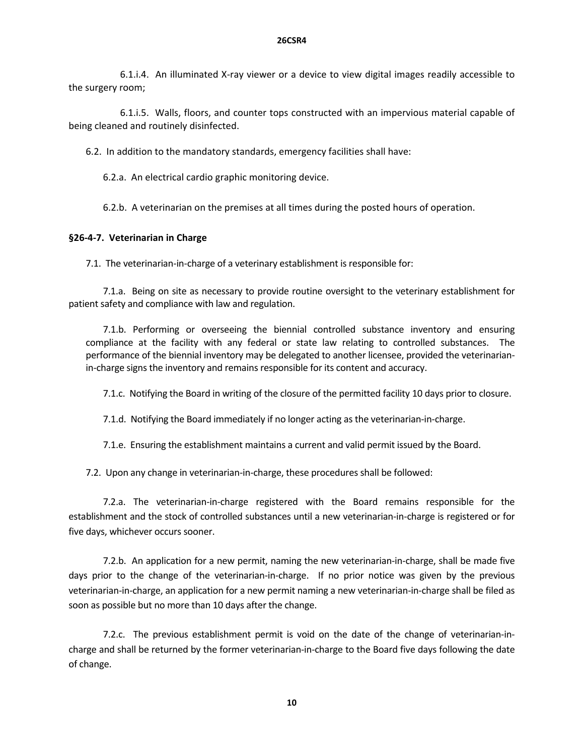6.1.i.4. An illuminated X‐ray viewer or a device to view digital images readily accessible to the surgery room;

 6.1.i.5. Walls, floors, and counter tops constructed with an impervious material capable of being cleaned and routinely disinfected.

6.2. In addition to the mandatory standards, emergency facilities shall have:

6.2.a. An electrical cardio graphic monitoring device.

6.2.b. A veterinarian on the premises at all times during the posted hours of operation.

### **§26‐4‐7. Veterinarian in Charge**

7.1. The veterinarian‐in‐charge of a veterinary establishment is responsible for:

7.1.a. Being on site as necessary to provide routine oversight to the veterinary establishment for patient safety and compliance with law and regulation.

7.1.b. Performing or overseeing the biennial controlled substance inventory and ensuring compliance at the facility with any federal or state law relating to controlled substances. The performance of the biennial inventory may be delegated to another licensee, provided the veterinarian‐ in-charge signs the inventory and remains responsible for its content and accuracy.

7.1.c. Notifying the Board in writing of the closure of the permitted facility 10 days prior to closure.

7.1.d. Notifying the Board immediately if no longer acting as the veterinarian‐in‐charge.

7.1.e. Ensuring the establishment maintains a current and valid permit issued by the Board.

7.2. Upon any change in veterinarian‐in‐charge, these procedures shall be followed:

7.2.a. The veterinarian‐in‐charge registered with the Board remains responsible for the establishment and the stock of controlled substances until a new veterinarian‐in‐charge is registered or for five days, whichever occurs sooner.

 7.2.b. An application for a new permit, naming the new veterinarian‐in‐charge, shall be made five days prior to the change of the veterinarian‐in‐charge. If no prior notice was given by the previous veterinarian‐in‐charge, an application for a new permit naming a new veterinarian‐in‐charge shall be filed as soon as possible but no more than 10 days after the change.

7.2.c. The previous establishment permit is void on the date of the change of veterinarian-incharge and shall be returned by the former veterinarian‐in‐charge to the Board five days following the date of change.

**10**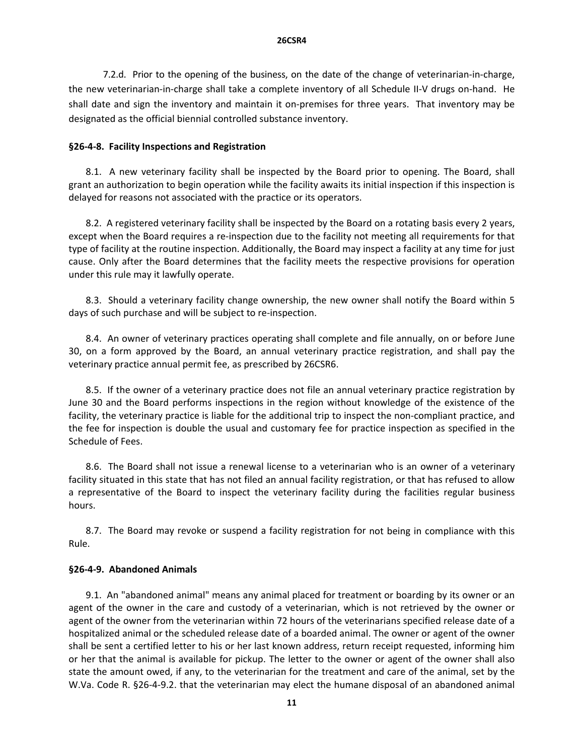7.2.d. Prior to the opening of the business, on the date of the change of veterinarian‐in‐charge, the new veterinarian‐in‐charge shall take a complete inventory of all Schedule II‐V drugs on‐hand. He shall date and sign the inventory and maintain it on-premises for three years. That inventory may be designated as the official biennial controlled substance inventory.

### **§26‐4‐8. Facility Inspections and Registration**

8.1. A new veterinary facility shall be inspected by the Board prior to opening. The Board, shall grant an authorization to begin operation while the facility awaits its initial inspection if this inspection is delayed for reasons not associated with the practice or its operators.

8.2. A registered veterinary facility shall be inspected by the Board on a rotating basis every 2 years, except when the Board requires a re-inspection due to the facility not meeting all requirements for that type of facility at the routine inspection. Additionally, the Board may inspect a facility at any time for just cause. Only after the Board determines that the facility meets the respective provisions for operation under this rule may it lawfully operate.

8.3. Should a veterinary facility change ownership, the new owner shall notify the Board within 5 days of such purchase and will be subject to re‐inspection.

8.4. An owner of veterinary practices operating shall complete and file annually, on or before June 30, on a form approved by the Board, an annual veterinary practice registration, and shall pay the veterinary practice annual permit fee, as prescribed by 26CSR6.

8.5. If the owner of a veterinary practice does not file an annual veterinary practice registration by June 30 and the Board performs inspections in the region without knowledge of the existence of the facility, the veterinary practice is liable for the additional trip to inspect the non‐compliant practice, and the fee for inspection is double the usual and customary fee for practice inspection as specified in the Schedule of Fees.

8.6. The Board shall not issue a renewal license to a veterinarian who is an owner of a veterinary facility situated in this state that has not filed an annual facility registration, or that has refused to allow a representative of the Board to inspect the veterinary facility during the facilities regular business hours.

8.7. The Board may revoke or suspend a facility registration for not being in compliance with this Rule.

#### **§26‐4‐9. Abandoned Animals**

9.1. An "abandoned animal" means any animal placed for treatment or boarding by its owner or an agent of the owner in the care and custody of a veterinarian, which is not retrieved by the owner or agent of the owner from the veterinarian within 72 hours of the veterinarians specified release date of a hospitalized animal or the scheduled release date of a boarded animal. The owner or agent of the owner shall be sent a certified letter to his or her last known address, return receipt requested, informing him or her that the animal is available for pickup. The letter to the owner or agent of the owner shall also state the amount owed, if any, to the veterinarian for the treatment and care of the animal, set by the W.Va. Code R. §26‐4‐9.2. that the veterinarian may elect the humane disposal of an abandoned animal